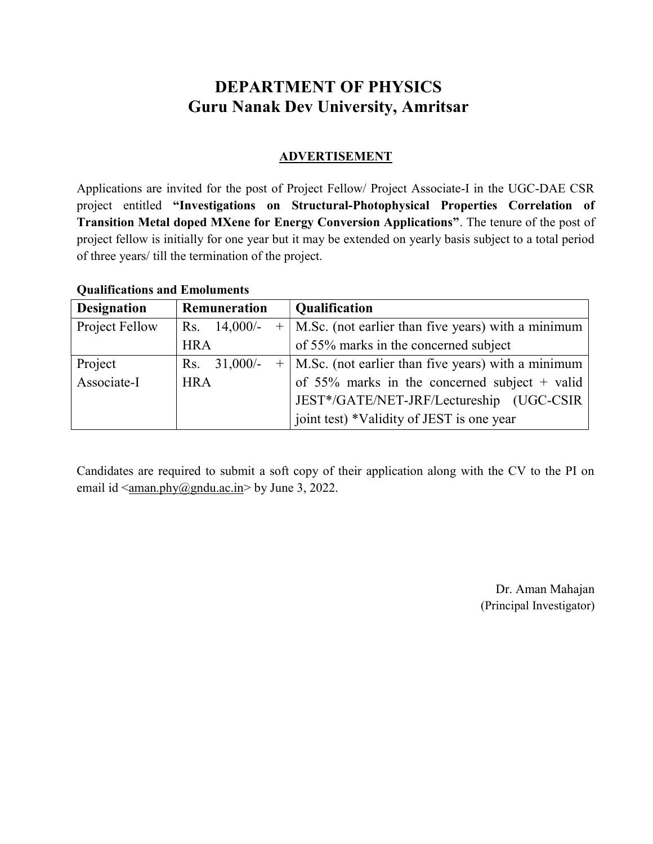# DEPARTMENT OF PHYSICS Guru Nanak Dev University, Amritsar

### ADVERTISEMENT

Applications are invited for the post of Project Fellow/ Project Associate-I in the UGC-DAE CSR project entitled "Investigations on Structural-Photophysical Properties Correlation of Transition Metal doped MXene for Energy Conversion Applications". The tenure of the post of project fellow is initially for one year but it may be extended on yearly basis subject to a total period of three years/ till the termination of the project.

## Qualifications and Emoluments

| <b>Designation</b> | Remuneration   | <b>Qualification</b>                                     |  |
|--------------------|----------------|----------------------------------------------------------|--|
| Project Fellow     | Rs. $14,000/-$ | $+$   M.Sc. (not earlier than five years) with a minimum |  |
|                    | <b>HRA</b>     | of 55% marks in the concerned subject                    |  |
| Project            | Rs. $31,000/-$ | $+$   M.Sc. (not earlier than five years) with a minimum |  |
| Associate-I        | <b>HRA</b>     | of 55% marks in the concerned subject + valid            |  |
|                    |                | JEST*/GATE/NET-JRF/Lectureship (UGC-CSIR                 |  |
|                    |                | joint test) *Validity of JEST is one year                |  |

Candidates are required to submit a soft copy of their application along with the CV to the PI on email id  $\langle \text{aman}, \text{phy}(\hat{\omega})$  and  $\text{au}$ .ac.in  $>$  by June 3, 2022.

> Dr. Aman Mahajan (Principal Investigator)